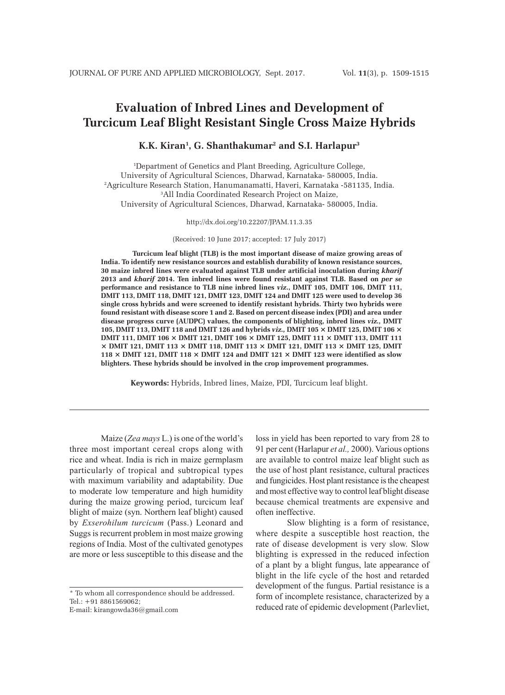# **Evaluation of Inbred Lines and Development of Turcicum Leaf Blight Resistant Single Cross Maize Hybrids**

# **K.K. Kiran1 , G. Shanthakumar2 and S.I. Harlapur3**

1 Department of Genetics and Plant Breeding, Agriculture College, University of Agricultural Sciences, Dharwad, Karnataka- 580005, India. 2 Agriculture Research Station, Hanumanamatti, Haveri, Karnataka -581135, India. 3 All India Coordinated Research Project on Maize, University of Agricultural Sciences, Dharwad, Karnataka- 580005, India.

http://dx.doi.org/10.22207/JPAM.11.3.35

(Received: 10 June 2017; accepted: 17 July 2017)

**Turcicum leaf blight (TLB) is the most important disease of maize growing areas of India. To identify new resistance sources and establish durability of known resistance sources, 30 maize inbred lines were evaluated against TLB under artificial inoculation during** *kharif*  **2013 and** *kharif* **2014. Ten inbred lines were found resistant against TLB. Based on** *per se* **performance and resistance to TLB nine inbred lines** *viz***., DMIT 105, DMIT 106, DMIT 111, DMIT 113, DMIT 118, DMIT 121, DMIT 123, DMIT 124 and DMIT 125 were used to develop 36 single cross hybrids and were screened to identify resistant hybrids. Thirty two hybrids were found resistant with disease score 1 and 2. Based on percent disease index (PDI) and area under disease progress curve (AUDPC) values, the components of blighting, inbred lines** *viz.,* **DMIT 105, DMIT 113, DMIT 118 and DMIT 126 and hybrids** *viz.,* **DMIT 105 × DMIT 125, DMIT 106 × DMIT 111, DMIT 106 × DMIT 121, DMIT 106 × DMIT 125, DMIT 111 × DMIT 113, DMIT 111**   $\times$  DMIT 121, DMIT 113  $\times$  DMIT 118, DMIT 113  $\times$  DMIT 113  $\times$  DMIT 125, DMIT **118 × DMIT 121, DMIT 118 × DMIT 124 and DMIT 121 × DMIT 123 were identified as slow blighters. These hybrids should be involved in the crop improvement programmes.** 

**Keywords:** Hybrids, Inbred lines, Maize, PDI, Turcicum leaf blight.

Maize (*Zea mays* L.) is one of the world's three most important cereal crops along with rice and wheat. India is rich in maize germplasm particularly of tropical and subtropical types with maximum variability and adaptability. Due to moderate low temperature and high humidity during the maize growing period, turcicum leaf blight of maize (syn. Northern leaf blight) caused by *Exserohilum turcicum* (Pass.) Leonard and Suggs is recurrent problem in most maize growing regions of India. Most of the cultivated genotypes are more or less susceptible to this disease and the

\* To whom all correspondence should be addressed.  $Tel \cdot +91.8861569062$ 

E-mail: kirangowda36@gmail.com

loss in yield has been reported to vary from 28 to 91 per cent (Harlapur *et al.,* 2000). Various options are available to control maize leaf blight such as the use of host plant resistance, cultural practices and fungicides. Host plant resistance is the cheapest and most effective way to control leaf blight disease because chemical treatments are expensive and often ineffective.

Slow blighting is a form of resistance, where despite a susceptible host reaction, the rate of disease development is very slow. Slow blighting is expressed in the reduced infection of a plant by a blight fungus, late appearance of blight in the life cycle of the host and retarded development of the fungus. Partial resistance is a form of incomplete resistance, characterized by a reduced rate of epidemic development (Parlevliet,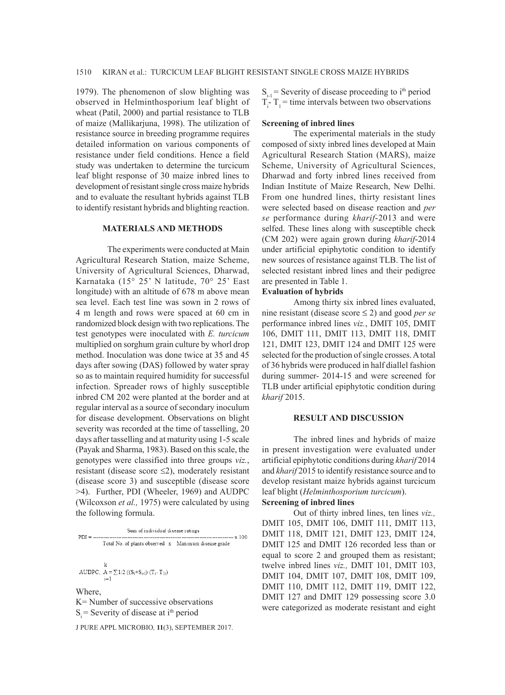1979). The phenomenon of slow blighting was observed in Helminthosporium leaf blight of wheat (Patil, 2000) and partial resistance to TLB of maize (Mallikarjuna, 1998). The utilization of resistance source in breeding programme requires detailed information on various components of resistance under field conditions. Hence a field study was undertaken to determine the turcicum leaf blight response of 30 maize inbred lines to development of resistant single cross maize hybrids and to evaluate the resultant hybrids against TLB to identify resistant hybrids and blighting reaction.

#### **MATERIALS AND METHODS**

The experiments were conducted at Main Agricultural Research Station, maize Scheme, University of Agricultural Sciences, Dharwad, Karnataka (15° 25' N latitude, 70° 25' East longitude) with an altitude of 678 m above mean sea level. Each test line was sown in 2 rows of 4 m length and rows were spaced at 60 cm in randomized block design with two replications. The test genotypes were inoculated with *E. turcicum*  multiplied on sorghum grain culture by whorl drop method. Inoculation was done twice at 35 and 45 days after sowing (DAS) followed by water spray so as to maintain required humidity for successful infection. Spreader rows of highly susceptible inbred CM 202 were planted at the border and at regular interval as a source of secondary inoculum for disease development. Observations on blight severity was recorded at the time of tasselling, 20 days after tasselling and at maturity using 1-5 scale (Payak and Sharma, 1983). Based on this scale, the genotypes were classified into three groups *viz.*, resistant (disease score  $\leq$ 2), moderately resistant (disease score 3) and susceptible (disease score >4). Further, PDI (Wheeler, 1969) and AUDPC (Wilcoxson *et al.,* 1975) were calculated by using the following formula.



J PURE APPL MICROBIO*,* **11**(3), SEPTEMBER 2017.

 $S_{i-1}$  = Severity of disease proceeding to i<sup>th</sup> period  $T_i$ -  $T_i$  = time intervals between two observations

#### **Screening of inbred lines**

The experimental materials in the study composed of sixty inbred lines developed at Main Agricultural Research Station (MARS), maize Scheme, University of Agricultural Sciences, Dharwad and forty inbred lines received from Indian Institute of Maize Research, New Delhi. From one hundred lines, thirty resistant lines were selected based on disease reaction and *per se* performance during *kharif*-2013 and were selfed. These lines along with susceptible check (CM 202) were again grown during *kharif*-2014 under artificial epiphytotic condition to identify new sources of resistance against TLB. The list of selected resistant inbred lines and their pedigree are presented in Table 1.

#### **Evaluation of hybrids**

Among thirty six inbred lines evaluated, nine resistant (disease score ≤ 2) and good *per se* performance inbred lines *viz.*, DMIT 105, DMIT 106, DMIT 111, DMIT 113, DMIT 118, DMIT 121, DMIT 123, DMIT 124 and DMIT 125 were selected for the production of single crosses. A total of 36 hybrids were produced in half diallel fashion during summer- 2014-15 and were screened for TLB under artificial epiphytotic condition during *kharif* 2015.

#### **RESULT AND DISCUSSION**

The inbred lines and hybrids of maize in present investigation were evaluated under artificial epiphytotic conditions during *kharif* 2014 and *kharif* 2015 to identify resistance source and to develop resistant maize hybrids against turcicum leaf blight (*Helminthosporium turcicum*).

# **Screening of inbred lines**

Out of thirty inbred lines, ten lines *viz.,* DMIT 105, DMIT 106, DMIT 111, DMIT 113, DMIT 118, DMIT 121, DMIT 123, DMIT 124, DMIT 125 and DMIT 126 recorded less than or equal to score 2 and grouped them as resistant; twelve inbred lines *viz.,* DMIT 101, DMIT 103, DMIT 104, DMIT 107, DMIT 108, DMIT 109, DMIT 110, DMIT 112, DMIT 119, DMIT 122, DMIT 127 and DMIT 129 possessing score 3.0 were categorized as moderate resistant and eight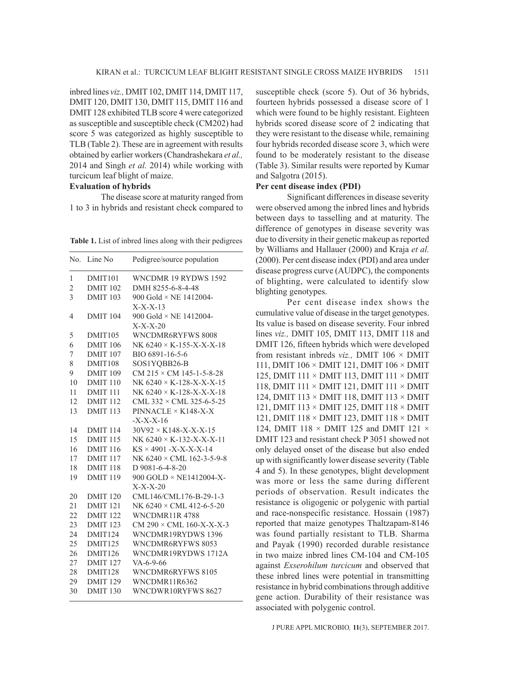inbred lines *viz.,* DMIT 102, DMIT 114, DMIT 117, DMIT 120, DMIT 130, DMIT 115, DMIT 116 and DMIT 128 exhibited TLB score 4 were categorized as susceptible and susceptible check (CM202) had score 5 was categorized as highly susceptible to TLB (Table 2). These are in agreement with results obtained by earlier workers (Chandrashekara *et al.,*  2014 and Singh *et al.* 2014) while working with turcicum leaf blight of maize.

# **Evaluation of hybrids**

The disease score at maturity ranged from 1 to 3 in hybrids and resistant check compared to

**Table 1.** List of inbred lines along with their pedigrees

| No.            | Line No             | Pedigree/source population                |
|----------------|---------------------|-------------------------------------------|
| 1              | DMIT <sub>101</sub> | WNCDMR 19 RYDWS 1592                      |
| $\overline{2}$ | <b>DMIT 102</b>     | DMH 8255-6-8-4-48                         |
| 3              | <b>DMIT 103</b>     | 900 Gold $\times$ NE 1412004-             |
|                |                     | $X-X-X-13$                                |
| 4              | <b>DMIT 104</b>     | 900 Gold $\times$ NE 1412004-             |
|                |                     | $X-X-X-20$                                |
| 5              | DMIT <sub>105</sub> | WNCDMR6RYFWS 8008                         |
| 6              | <b>DMIT 106</b>     | NK $6240 \times K - 155 - X - X - X - 18$ |
| 7              | <b>DMIT 107</b>     | BIO 6891-16-5-6                           |
| 8              | DMIT108             | SOS1YQBB26-B                              |
| 9              | <b>DMIT 109</b>     | CM $215 \times$ CM 145-1-5-8-28           |
| 10             | DMIT 110            | NK $6240 \times K-128-X-X-X-15$           |
| 11             | DMIT <sub>111</sub> | NK $6240 \times K - 128 - X - X - 18$     |
| 12             | <b>DMIT 112</b>     | CML $332 \times$ CML 325-6-5-25           |
| 13             | <b>DMIT 113</b>     | $PINNACLE \times K148-X-X$                |
|                |                     | $-X-X-X-16$                               |
| 14             | <b>DMIT 114</b>     | $30V92 \times K148-X-X-X-15$              |
| 15             | <b>DMIT 115</b>     | NK $6240 \times K - 132 - X - X - X - 11$ |
| 16             | <b>DMIT 116</b>     | $KS \times 4901 - X-X-X-X-14$             |
| 17             | <b>DMIT 117</b>     | NK $6240 \times$ CML 162-3-5-9-8          |
| 18             | DMIT <sub>118</sub> | $D$ 9081-6-4-8-20                         |
| 19             | <b>DMIT 119</b>     | 900 GOLD × NE1412004-X-                   |
|                |                     | $X-X-X-20$                                |
| 20             | <b>DMIT 120</b>     | CML146/CML176-B-29-1-3                    |
| 21             | <b>DMIT 121</b>     | NK 6240 × CML 412-6-5-20                  |
| 22             | <b>DMIT 122</b>     | <b>WNCDMR11R4788</b>                      |
| 23             | <b>DMIT 123</b>     | CM 290 × CML 160-X-X-X-3                  |
| 24             | DMIT124             | WNCDMR19RYDWS 1396                        |
| 25             | DMIT125             | WNCDMR6RYFWS 8053                         |
| 26             | DMIT126             | WNCDMR19RYDWS 1712A                       |
| 27             | <b>DMIT 127</b>     | $VA - 6 - 9 - 66$                         |
| 28             | DMIT128             | WNCDMR6RYFWS 8105                         |
| 29             | <b>DMIT 129</b>     | WNCDMR11R6362                             |
| 30             | DMIT <sub>130</sub> | WNCDWR10RYFWS 8627                        |

susceptible check (score 5). Out of 36 hybrids, fourteen hybrids possessed a disease score of 1 which were found to be highly resistant. Eighteen hybrids scored disease score of 2 indicating that they were resistant to the disease while, remaining four hybrids recorded disease score 3, which were found to be moderately resistant to the disease (Table 3). Similar results were reported by Kumar and Salgotra (2015).

### **Per cent disease index (PDI)**

Significant differences in disease severity were observed among the inbred lines and hybrids between days to tasselling and at maturity. The difference of genotypes in disease severity was due to diversity in their genetic makeup as reported by Williams and Hallauer (2000) and Kraja *et al.* (2000). Per cent disease index (PDI) and area under disease progress curve (AUDPC), the components of blighting, were calculated to identify slow blighting genotypes.

Per cent disease index shows the cumulative value of disease in the target genotypes. Its value is based on disease severity. Four inbred lines *viz.,* DMIT 105, DMIT 113, DMIT 118 and DMIT 126, fifteen hybrids which were developed from resistant inbreds *viz.,* DMIT 106 × DMIT 111, DMIT 106 × DMIT 121, DMIT 106 × DMIT 125, DMIT 111 × DMIT 113, DMIT 111 × DMIT 118, DMIT 111 × DMIT 121, DMIT 111 × DMIT 124, DMIT 113 × DMIT 118, DMIT 113 × DMIT 121, DMIT 113 × DMIT 125, DMIT 118 × DMIT 121, DMIT 118 × DMIT 123, DMIT 118 × DMIT 124, DMIT 118  $\times$  DMIT 125 and DMIT 121  $\times$ DMIT 123 and resistant check P 3051 showed not only delayed onset of the disease but also ended up with significantly lower disease severity (Table 4 and 5). In these genotypes, blight development was more or less the same during different periods of observation. Result indicates the resistance is oligogenic or polygenic with partial and race-nonspecific resistance. Hossain (1987) reported that maize genotypes Thaltzapam-8146 was found partially resistant to TLB. Sharma and Payak (1990) recorded durable resistance in two maize inbred lines CM-104 and CM-105 against *Exserohilum turcicum* and observed that these inbred lines were potential in transmitting resistance in hybrid combinations through additive gene action. Durability of their resistance was associated with polygenic control.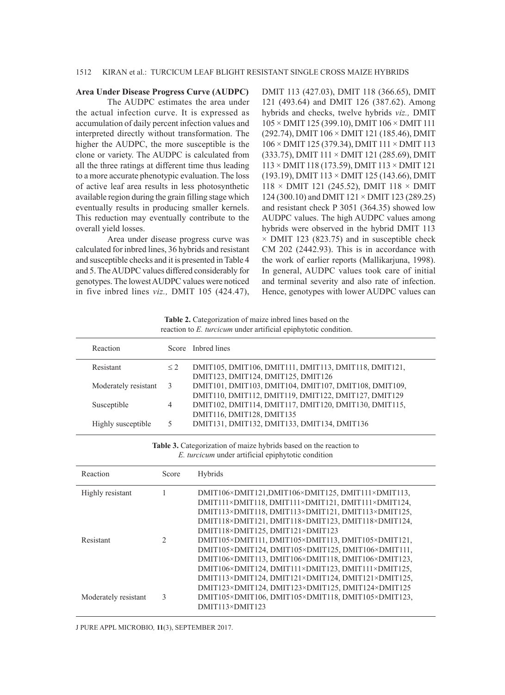#### **Area Under Disease Progress Curve (AUDPC)**

The AUDPC estimates the area under the actual infection curve. It is expressed as accumulation of daily percent infection values and interpreted directly without transformation. The higher the AUDPC, the more susceptible is the clone or variety. The AUDPC is calculated from all the three ratings at different time thus leading to a more accurate phenotypic evaluation. The loss of active leaf area results in less photosynthetic available region during the grain filling stage which eventually results in producing smaller kernels. This reduction may eventually contribute to the overall yield losses.

Area under disease progress curve was calculated for inbred lines, 36 hybrids and resistant and susceptible checks and it is presented in Table 4 and 5. The AUDPC values differed considerably for genotypes. The lowest AUDPC values were noticed in five inbred lines *viz.,* DMIT 105 (424.47), DMIT 113 (427.03), DMIT 118 (366.65), DMIT 121 (493.64) and DMIT 126 (387.62). Among hybrids and checks, twelve hybrids *viz.,* DMIT 105 × DMIT 125 (399.10), DMIT 106 × DMIT 111 (292.74), DMIT 106 × DMIT 121 (185.46), DMIT 106 × DMIT 125 (379.34), DMIT 111 × DMIT 113 (333.75), DMIT 111 × DMIT 121 (285.69), DMIT 113 × DMIT 118 (173.59), DMIT 113 × DMIT 121 (193.19), DMIT 113 × DMIT 125 (143.66), DMIT 118 × DMIT 121 (245.52), DMIT 118 × DMIT 124 (300.10) and DMIT 121 × DMIT 123 (289.25) and resistant check P 3051 (364.35) showed low AUDPC values. The high AUDPC values among hybrids were observed in the hybrid DMIT 113  $\times$  DMIT 123 (823.75) and in susceptible check CM 202 (2442.93). This is in accordance with the work of earlier reports (Mallikarjuna, 1998). In general, AUDPC values took care of initial and terminal severity and also rate of infection. Hence, genotypes with lower AUDPC values can

**Table 2.** Categorization of maize inbred lines based on the reaction to *E. turcicum* under artificial epiphytotic condition.

| Reaction             |          | Score Inbred lines                                    |
|----------------------|----------|-------------------------------------------------------|
| Resistant            | $\leq$ 2 | DMIT105, DMIT106, DMIT111, DMIT113, DMIT118, DMIT121, |
|                      |          | DMIT123, DMIT124, DMIT125, DMIT126                    |
| Moderately resistant | 3        | DMIT101, DMIT103, DMIT104, DMIT107, DMIT108, DMIT109, |
|                      |          | DMIT110, DMIT112, DMIT119, DMIT122, DMIT127, DMIT129  |
| Susceptible          | 4        | DMIT102, DMIT114, DMIT117, DMIT120, DMIT130, DMIT115, |
|                      |          | DMIT116, DMIT128, DMIT135                             |
| Highly susceptible   |          | DMIT131, DMIT132, DMIT133, DMIT134, DMIT136           |
|                      |          |                                                       |

Table 3. Categorization of maize hybrids based on the reaction to *E. turcicum* under artificial epiphytotic condition

| Reaction             | Score | Hybrids                                                                                                                                                                                                                                                                                                                         |
|----------------------|-------|---------------------------------------------------------------------------------------------------------------------------------------------------------------------------------------------------------------------------------------------------------------------------------------------------------------------------------|
| Highly resistant     |       | $DMIT106 \times DMIT121$ , $DMIT106 \times DMIT125$ , $DMIT111 \times DMIT113$ ,<br>DMIT111×DMIT118, DMIT111×DMIT121, DMIT111×DMIT124,<br>DMIT113×DMIT118, DMIT113×DMIT121, DMIT113×DMIT125,<br>DMIT118×DMIT121, DMIT118×DMIT123, DMIT118×DMIT124,<br>DMIT118×DMIT125, DMIT121×DMIT123                                          |
| Resistant            | 2     | DMIT105×DMIT111, DMIT105×DMIT113, DMIT105×DMIT121,<br>DMIT105×DMIT124, DMIT105×DMIT125, DMIT106×DMIT111,<br>DMIT106×DMIT113, DMIT106×DMIT118, DMIT106×DMIT123,<br>DMIT106×DMIT124, DMIT111×DMIT123, DMIT111×DMIT125,<br>DMIT113×DMIT124, DMIT121×DMIT124, DMIT121×DMIT125,<br>DMIT123×DMIT124, DMIT123×DMIT125, DMIT124×DMIT125 |
| Moderately resistant | 3     | DMIT105×DMIT106, DMIT105×DMIT118, DMIT105×DMIT123,<br>DMIT113×DMIT123                                                                                                                                                                                                                                                           |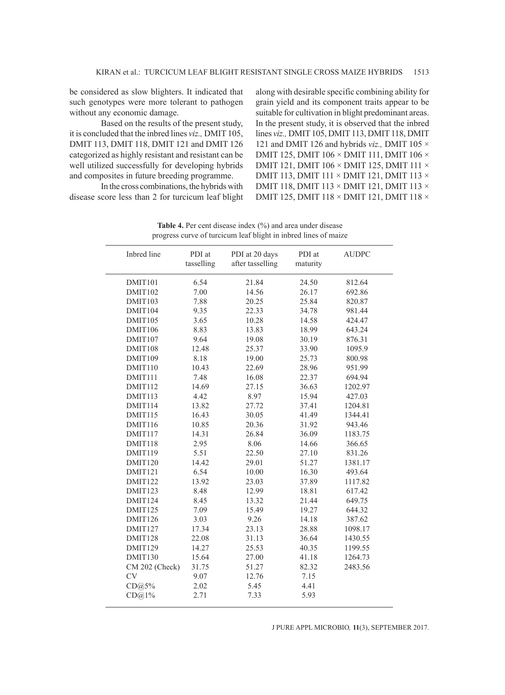be considered as slow blighters. It indicated that such genotypes were more tolerant to pathogen without any economic damage.

Based on the results of the present study, it is concluded that the inbred lines *viz.,* DMIT 105, DMIT 113, DMIT 118, DMIT 121 and DMIT 126 categorized as highly resistant and resistant can be well utilized successfully for developing hybrids and composites in future breeding programme.

In the cross combinations, the hybrids with disease score less than 2 for turcicum leaf blight

along with desirable specific combining ability for grain yield and its component traits appear to be suitable for cultivation in blight predominant areas. In the present study, it is observed that the inbred lines *viz.,* DMIT 105, DMIT 113, DMIT 118, DMIT 121 and DMIT 126 and hybrids *viz.,* DMIT 105 × DMIT 125, DMIT 106 × DMIT 111, DMIT 106 × DMIT 121, DMIT 106 × DMIT 125, DMIT 111 × DMIT 113, DMIT 111 × DMIT 121, DMIT 113 × DMIT 118, DMIT 113 × DMIT 121, DMIT 113 × DMIT 125, DMIT 118 × DMIT 121, DMIT 118 ×

| progress curve of turcleum real origin in moreu mies of marze |            |                  |          |              |
|---------------------------------------------------------------|------------|------------------|----------|--------------|
| Inbred line                                                   | PDI at     | PDI at 20 days   | PDI at   | <b>AUDPC</b> |
|                                                               | tasselling | after tasselling | maturity |              |
| DMIT101                                                       | 6.54       | 21.84            | 24.50    | 812.64       |
| DMIT102                                                       | 7.00       | 14.56            | 26.17    | 692.86       |
| DMIT103                                                       | 7.88       | 20.25            | 25.84    | 820.87       |
| DMIT104                                                       | 9.35       | 22.33            | 34.78    | 981.44       |
| DMIT105                                                       | 3.65       | 10.28            | 14.58    | 424.47       |
| DMIT106                                                       | 8.83       | 13.83            | 18.99    | 643.24       |
| DMIT107                                                       | 9.64       | 19.08            | 30.19    | 876.31       |
| DMIT108                                                       | 12.48      | 25.37            | 33.90    | 1095.9       |
| DMIT109                                                       | 8.18       | 19.00            | 25.73    | 800.98       |
| DMIT110                                                       | 10.43      | 22.69            | 28.96    | 951.99       |
| DMIT111                                                       | 7.48       | 16.08            | 22.37    | 694.94       |
| DMIT112                                                       | 14.69      | 27.15            | 36.63    | 1202.97      |
| DMIT113                                                       | 4.42       | 8.97             | 15.94    | 427.03       |
| DMIT114                                                       | 13.82      | 27.72            | 37.41    | 1204.81      |
| DMIT115                                                       | 16.43      | 30.05            | 41.49    | 1344.41      |
| DMIT116                                                       | 10.85      | 20.36            | 31.92    | 943.46       |
| DMIT117                                                       | 14.31      | 26.84            | 36.09    | 1183.75      |
| DMIT118                                                       | 2.95       | 8.06             | 14.66    | 366.65       |
| DMIT119                                                       | 5.51       | 22.50            | 27.10    | 831.26       |
| DMIT120                                                       | 14.42      | 29.01            | 51.27    | 1381.17      |
| DMIT121                                                       | 6.54       | 10.00            | 16.30    | 493.64       |
| DMIT122                                                       | 13.92      | 23.03            | 37.89    | 1117.82      |
| DMIT123                                                       | 8.48       | 12.99            | 18.81    | 617.42       |
| DMIT124                                                       | 8.45       | 13.32            | 21.44    | 649.75       |
| DMIT125                                                       | 7.09       | 15.49            | 19.27    | 644.32       |
| DMIT126                                                       | 3.03       | 9.26             | 14.18    | 387.62       |
| DMIT127                                                       | 17.34      | 23.13            | 28.88    | 1098.17      |
| DMIT128                                                       | 22.08      | 31.13            | 36.64    | 1430.55      |
| DMIT129                                                       | 14.27      | 25.53            | 40.35    | 1199.55      |
| DMIT130                                                       | 15.64      | 27.00            | 41.18    | 1264.73      |
| CM 202 (Check)                                                | 31.75      | 51.27            | 82.32    | 2483.56      |
| <b>CV</b>                                                     | 9.07       | 12.76            | 7.15     |              |
| CD@5%                                                         | 2.02       | 5.45             | 4.41     |              |
| CD@1%                                                         | 2.71       | 7.33             | 5.93     |              |
|                                                               |            |                  |          |              |

Table 4. Per cent disease index (%) and area under disease progress curve of turcicum leaf blight in inbred lines of maize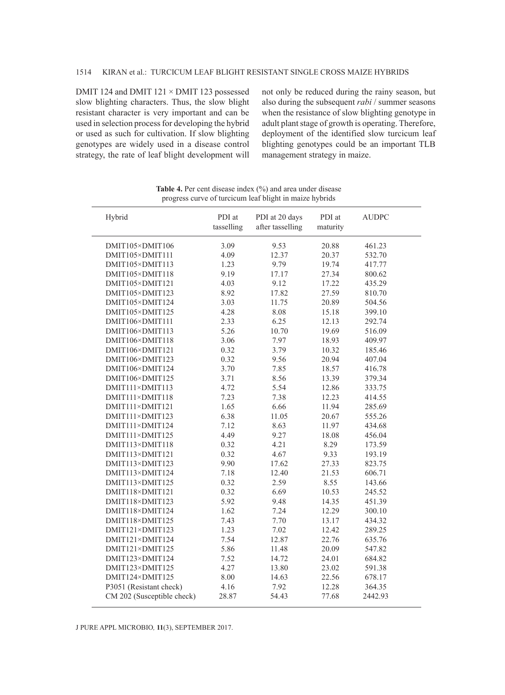DMIT 124 and DMIT 121 × DMIT 123 possessed slow blighting characters. Thus, the slow blight resistant character is very important and can be used in selection process for developing the hybrid or used as such for cultivation. If slow blighting genotypes are widely used in a disease control strategy, the rate of leaf blight development will

not only be reduced during the rainy season, but also during the subsequent *rabi* / summer seasons when the resistance of slow blighting genotype in adult plant stage of growth is operating. Therefore, deployment of the identified slow turcicum leaf blighting genotypes could be an important TLB management strategy in maize.

| Hybrid                     | PDI at<br>tasselling | PDI at 20 days<br>after tasselling | PDI at<br>maturity | <b>AUDPC</b> |  |
|----------------------------|----------------------|------------------------------------|--------------------|--------------|--|
|                            |                      |                                    |                    |              |  |
| DMIT105×DMIT106            | 3.09                 | 9.53                               | 20.88              | 461.23       |  |
| DMIT105×DMIT111            | 4.09                 | 12.37                              | 20.37              | 532.70       |  |
| DMIT105×DMIT113            | 1.23                 | 9.79                               | 19.74              | 417.77       |  |
| DMIT105×DMIT118            | 9.19                 | 17.17                              | 27.34              | 800.62       |  |
| DMIT105×DMIT121            | 4.03                 | 9.12                               | 17.22              | 435.29       |  |
| DMIT105×DMIT123            | 8.92                 | 17.82                              | 27.59              | 810.70       |  |
| DMIT105×DMIT124            | 3.03                 | 11.75                              | 20.89              | 504.56       |  |
| DMIT105×DMIT125            | 4.28                 | 8.08                               | 15.18              | 399.10       |  |
| DMIT106×DMIT111            | 2.33                 | 6.25                               | 12.13              | 292.74       |  |
| DMIT106×DMIT113            | 5.26                 | 10.70                              | 19.69              | 516.09       |  |
| DMIT106×DMIT118            | 3.06                 | 7.97                               | 18.93              | 409.97       |  |
| DMIT106×DMIT121            | 0.32                 | 3.79                               | 10.32              | 185.46       |  |
| DMIT106×DMIT123            | 0.32                 | 9.56                               | 20.94              | 407.04       |  |
| DMIT106×DMIT124            | 3.70                 | 7.85                               | 18.57              | 416.78       |  |
| DMIT106×DMIT125            | 3.71                 | 8.56                               | 13.39              | 379.34       |  |
| DMIT111×DMIT113            | 4.72                 | 5.54                               | 12.86              | 333.75       |  |
| DMIT111×DMIT118            | 7.23                 | 7.38                               | 12.23              | 414.55       |  |
| DMIT111×DMIT121            | 1.65                 | 6.66                               | 11.94              | 285.69       |  |
| DMIT111×DMIT123            | 6.38                 | 11.05                              | 20.67              | 555.26       |  |
| DMIT111×DMIT124            | 7.12                 | 8.63                               | 11.97              | 434.68       |  |
| DMIT111×DMIT125            | 4.49                 | 9.27                               | 18.08              | 456.04       |  |
| DMIT113×DMIT118            | 0.32                 | 4.21                               | 8.29               | 173.59       |  |
| DMIT113×DMIT121            | 0.32                 | 4.67                               | 9.33               | 193.19       |  |
| DMIT113×DMIT123            | 9.90                 | 17.62                              | 27.33              | 823.75       |  |
| DMIT113×DMIT124            | 7.18                 | 12.40                              | 21.53              | 606.71       |  |
| DMIT113×DMIT125            | 0.32                 | 2.59                               | 8.55               | 143.66       |  |
| DMIT118×DMIT121            | 0.32                 | 6.69                               | 10.53              | 245.52       |  |
| DMIT118×DMIT123            | 5.92                 | 9.48                               | 14.35              | 451.39       |  |
| DMIT118×DMIT124            | 1.62                 | 7.24                               | 12.29              | 300.10       |  |
| DMIT118×DMIT125            | 7.43                 | 7.70                               | 13.17              | 434.32       |  |
| DMIT121×DMIT123            | 1.23                 | 7.02                               | 12.42              | 289.25       |  |
| DMIT121×DMIT124            | 7.54                 | 12.87                              | 22.76              | 635.76       |  |
| DMIT121×DMIT125            | 5.86                 | 11.48                              | 20.09              | 547.82       |  |
| DMIT123×DMIT124            | 7.52                 | 14.72                              | 24.01              | 684.82       |  |
| DMIT123×DMIT125            | 4.27                 | 13.80                              | 23.02              | 591.38       |  |
| DMIT124×DMIT125            | 8.00                 | 14.63                              | 22.56              | 678.17       |  |
| P3051 (Resistant check)    | 4.16                 | 7.92                               | 12.28              | 364.35       |  |
| CM 202 (Susceptible check) | 28.87                | 54.43                              | 77.68              | 2442.93      |  |

**Table 4.** Per cent disease index (%) and area under disease progress curve of turcicum leaf blight in maize hybrids